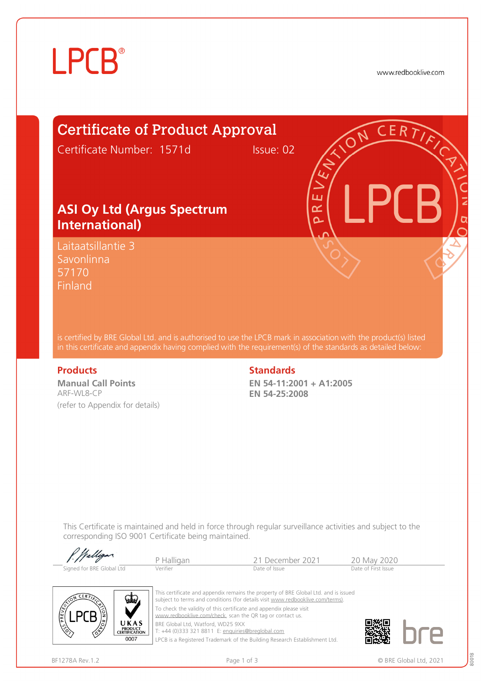# **LPCB**®

www.redbooklive.com

### Certificate of Product Approval

Certificate Number: 1571d Issue: 02

### **ASI Oy Ltd (Argus Spectrum International)**

Laitaatsillantie 3 Savonlinna 57170 Finland

is certified by BRE Global Ltd. and is authorised to use the LPCB mark in association with the product(s) listed in this certificate and appendix having complied with the requirement(s) of the standards as detailed below:

**Manual Call Points**  ARF-WL8-CP (refer to Appendix for details)

#### **Products** Standards **Standards**

**EN 54-11:2001 + A1:2005 EN 54-25:2008** 

ய œ Ò

This Certificate is maintained and held in force through regular surveillance activities and subject to the corresponding ISO 9001 Certificate being maintained.

P Halligan 21 December 2021 20 May 2020<br>
Verifier Date of Issue Date of Issue Date of First Issue Signed for BRE Global Ltd



This certificate and appendix remains the property of BRE Global Ltd. and is issued subject to terms and conditions (for details visit [www.redbooklive.com/terms\)](http://www.redbooklive.com/terms)). To check the validity of this certificate and appendix please visit [www.redbooklive.com/check,](http://www.redbooklive.com/check) scan the QR tag or contact us. BRE Global Ltd, Watford, WD25 9XX

T: +44 (0)333 321 8811 E: [enquiries@breglobal.com](mailto:enquiries@breglobal.com)

LPCB is a Registered Trademark of the Building Research Establishment Ltd.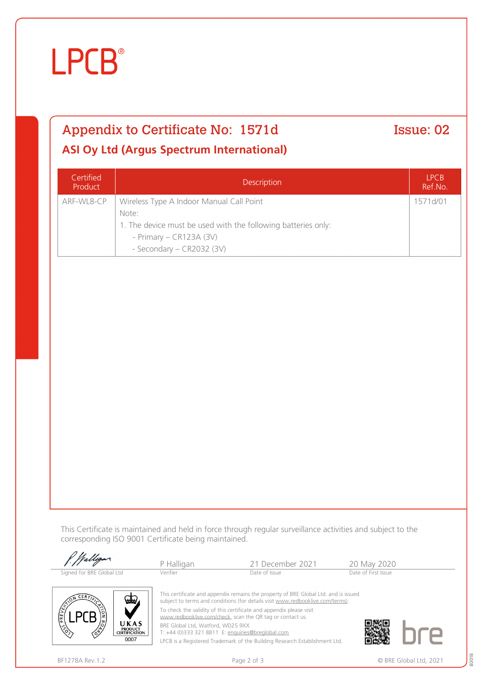# **LPCB**®

## Appendix to Certificate No: 1571d Issue: 02

### **ASI Oy Ltd (Argus Spectrum International)**

| Certified<br>Product | <b>Description</b>                                            | <b>LPCB</b><br>Ref.No. |
|----------------------|---------------------------------------------------------------|------------------------|
| ARF-WL8-CP           | Wireless Type A Indoor Manual Call Point                      | 1571d/01               |
|                      | Note:                                                         |                        |
|                      | 1. The device must be used with the following batteries only: |                        |
|                      | - Primary $-$ CR123A (3V)                                     |                        |
|                      | - Secondary - CR2032 (3V)                                     |                        |

This Certificate is maintained and held in force through regular surveillance activities and subject to the corresponding ISO 9001 Certificate being maintained.

| Walligan.                    | P Halligan                                                          | 21 December 2021                                                                                                                                                      | 20 May 2020         |
|------------------------------|---------------------------------------------------------------------|-----------------------------------------------------------------------------------------------------------------------------------------------------------------------|---------------------|
| Signed for BRE Global Ltd    | Verifier                                                            | Date of Issue                                                                                                                                                         | Date of First Issue |
| $CER$ $\overline{Y}$<br>VEW, | To check the validity of this certificate and appendix please visit | This certificate and appendix remains the property of BRE Global Ltd. and is issued<br>subject to terms and conditions (for details visit www.redbooklive.com/terms). |                     |

[www.redbooklive.com/check](http://www.redbooklive.com/check), scan the QR tag or contact us.

BRE Global Ltd, Watford, WD25 9XX

T: +44 (0)333 321 8811 E: [enquiries@breglobal.com](mailto:enquiries@breglobal.com)

LPCB is a Registered Trademark of the Building Research Establishment Ltd.

LPLB E

UKAS **PRODUCT<br>CERTIFICATION** 0007

80018